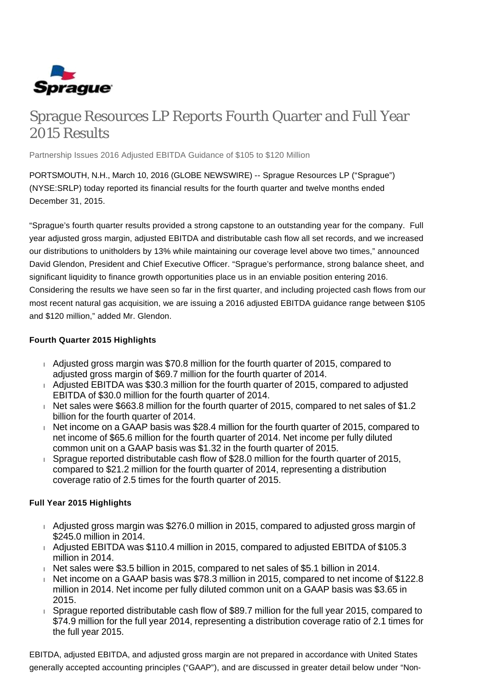

# Sprague Resources LP Reports Fourth Quarter and Full Year 2015 Results

Partnership Issues 2016 Adjusted EBITDA Guidance of \$105 to \$120 Million

PORTSMOUTH, N.H., March 10, 2016 (GLOBE NEWSWIRE) -- Sprague Resources LP ("Sprague") (NYSE:SRLP) today reported its financial results for the fourth quarter and twelve months ended December 31, 2015.

"Sprague's fourth quarter results provided a strong capstone to an outstanding year for the company. Full year adjusted gross margin, adjusted EBITDA and distributable cash flow all set records, and we increased our distributions to unitholders by 13% while maintaining our coverage level above two times," announced David Glendon, President and Chief Executive Officer. "Sprague's performance, strong balance sheet, and significant liquidity to finance growth opportunities place us in an enviable position entering 2016. Considering the results we have seen so far in the first quarter, and including projected cash flows from our most recent natural gas acquisition, we are issuing a 2016 adjusted EBITDA guidance range between \$105 and \$120 million," added Mr. Glendon.

## **Fourth Quarter 2015 Highlights**

- $\overline{A}$  Adjusted gross margin was \$70.8 million for the fourth quarter of 2015, compared to adjusted gross margin of \$69.7 million for the fourth quarter of 2014.
- $\overline{A}$  Adjusted EBITDA was \$30.3 million for the fourth quarter of 2015, compared to adjusted EBITDA of \$30.0 million for the fourth quarter of 2014.
- Net sales were \$663.8 million for the fourth quarter of 2015, compared to net sales of \$1.2 billion for the fourth quarter of 2014.
- Net income on a GAAP basis was \$28.4 million for the fourth quarter of 2015, compared to net income of \$65.6 million for the fourth quarter of 2014. Net income per fully diluted common unit on a GAAP basis was \$1.32 in the fourth quarter of 2015.
- Sprague reported distributable cash flow of \$28.0 million for the fourth quarter of 2015, compared to \$21.2 million for the fourth quarter of 2014, representing a distribution coverage ratio of 2.5 times for the fourth quarter of 2015.

# **Full Year 2015 Highlights**

- Adjusted gross margin was \$276.0 million in 2015, compared to adjusted gross margin of \$245.0 million in 2014.
- Adjusted EBITDA was \$110.4 million in 2015, compared to adjusted EBITDA of \$105.3 million in 2014.
- Net sales were \$3.5 billion in 2015, compared to net sales of \$5.1 billion in 2014.
- Net income on a GAAP basis was \$78.3 million in 2015, compared to net income of \$122.8 million in 2014. Net income per fully diluted common unit on a GAAP basis was \$3.65 in 2015.
- Sprague reported distributable cash flow of \$89.7 million for the full year 2015, compared to \$74.9 million for the full year 2014, representing a distribution coverage ratio of 2.1 times for the full year 2015.

EBITDA, adjusted EBITDA, and adjusted gross margin are not prepared in accordance with United States generally accepted accounting principles ("GAAP"), and are discussed in greater detail below under "Non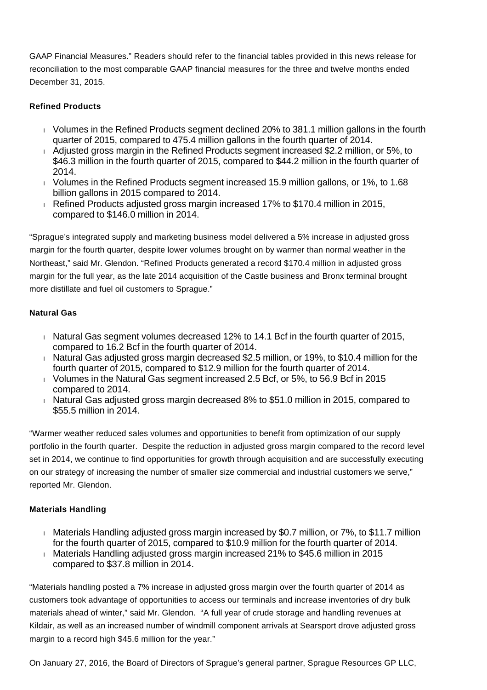GAAP Financial Measures." Readers should refer to the financial tables provided in this news release for reconciliation to the most comparable GAAP financial measures for the three and twelve months ended December 31, 2015.

# **Refined Products**

- Volumes in the Refined Products segment declined 20% to 381.1 million gallons in the fourth quarter of 2015, compared to 475.4 million gallons in the fourth quarter of 2014.
- Adjusted gross margin in the Refined Products segment increased \$2.2 million, or 5%, to \$46.3 million in the fourth quarter of 2015, compared to \$44.2 million in the fourth quarter of 2014.
- Volumes in the Refined Products segment increased 15.9 million gallons, or 1%, to 1.68 billion gallons in 2015 compared to 2014.
- Refined Products adjusted gross margin increased 17% to \$170.4 million in 2015, compared to \$146.0 million in 2014.

"Sprague's integrated supply and marketing business model delivered a 5% increase in adjusted gross margin for the fourth quarter, despite lower volumes brought on by warmer than normal weather in the Northeast," said Mr. Glendon. "Refined Products generated a record \$170.4 million in adjusted gross margin for the full year, as the late 2014 acquisition of the Castle business and Bronx terminal brought more distillate and fuel oil customers to Sprague."

# **Natural Gas**

- $\parallel$  Natural Gas segment volumes decreased 12% to 14.1 Bcf in the fourth quarter of 2015, compared to 16.2 Bcf in the fourth quarter of 2014.
- Natural Gas adjusted gross margin decreased \$2.5 million, or 19%, to \$10.4 million for the fourth quarter of 2015, compared to \$12.9 million for the fourth quarter of 2014.
- Volumes in the Natural Gas segment increased 2.5 Bcf, or 5%, to 56.9 Bcf in 2015 compared to 2014.
- $\overline{h}$  Natural Gas adjusted gross margin decreased 8% to \$51.0 million in 2015, compared to \$55.5 million in 2014.

"Warmer weather reduced sales volumes and opportunities to benefit from optimization of our supply portfolio in the fourth quarter. Despite the reduction in adjusted gross margin compared to the record level set in 2014, we continue to find opportunities for growth through acquisition and are successfully executing on our strategy of increasing the number of smaller size commercial and industrial customers we serve," reported Mr. Glendon.

# **Materials Handling**

- Materials Handling adjusted gross margin increased by \$0.7 million, or 7%, to \$11.7 million for the fourth quarter of 2015, compared to \$10.9 million for the fourth quarter of 2014.
- Materials Handling adjusted gross margin increased 21% to \$45.6 million in 2015 compared to \$37.8 million in 2014.

"Materials handling posted a 7% increase in adjusted gross margin over the fourth quarter of 2014 as customers took advantage of opportunities to access our terminals and increase inventories of dry bulk materials ahead of winter," said Mr. Glendon. "A full year of crude storage and handling revenues at Kildair, as well as an increased number of windmill component arrivals at Searsport drove adjusted gross margin to a record high \$45.6 million for the year."

On January 27, 2016, the Board of Directors of Sprague's general partner, Sprague Resources GP LLC,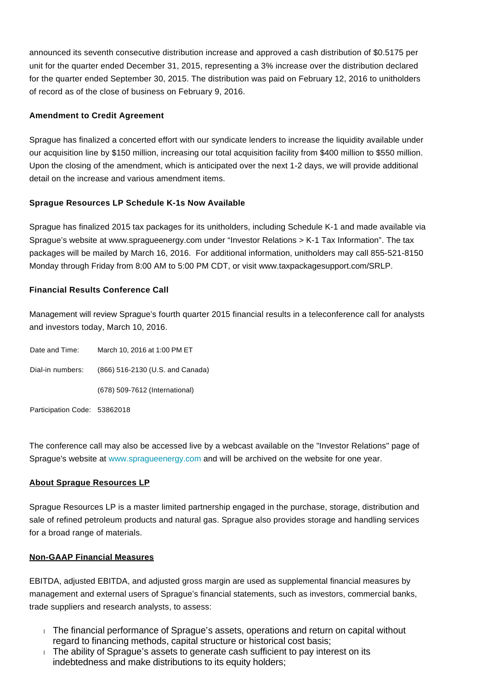announced its seventh consecutive distribution increase and approved a cash distribution of \$0.5175 per unit for the quarter ended December 31, 2015, representing a 3% increase over the distribution declared for the quarter ended September 30, 2015. The distribution was paid on February 12, 2016 to unitholders of record as of the close of business on February 9, 2016.

## **Amendment to Credit Agreement**

Sprague has finalized a concerted effort with our syndicate lenders to increase the liquidity available under our acquisition line by \$150 million, increasing our total acquisition facility from \$400 million to \$550 million. Upon the closing of the amendment, which is anticipated over the next 1-2 days, we will provide additional detail on the increase and various amendment items.

## **Sprague Resources LP Schedule K-1s Now Available**

Sprague has finalized 2015 tax packages for its unitholders, including Schedule K-1 and made available via Sprague's website at www.spragueenergy.com under "Investor Relations > K-1 Tax Information". The tax packages will be mailed by March 16, 2016. For additional information, unitholders may call 855-521-8150 Monday through Friday from 8:00 AM to 5:00 PM CDT, or visit www.taxpackagesupport.com/SRLP.

## **Financial Results Conference Call**

Management will review Sprague's fourth quarter 2015 financial results in a teleconference call for analysts and investors today, March 10, 2016.

Date and Time: March 10, 2016 at 1:00 PM ET Dial-in numbers: (866) 516-2130 (U.S. and Canada) (678) 509-7612 (International) Participation Code: 53862018

The conference call may also be accessed live by a webcast available on the "Investor Relations" page of Sprague's website at [www.spragueenergy.com](http://www.spragueenergy.com/) and will be archived on the website for one year.

#### **About Sprague Resources LP**

Sprague Resources LP is a master limited partnership engaged in the purchase, storage, distribution and sale of refined petroleum products and natural gas. Sprague also provides storage and handling services for a broad range of materials.

#### **Non-GAAP Financial Measures**

EBITDA, adjusted EBITDA, and adjusted gross margin are used as supplemental financial measures by management and external users of Sprague's financial statements, such as investors, commercial banks, trade suppliers and research analysts, to assess:

- The financial performance of Sprague's assets, operations and return on capital without regard to financing methods, capital structure or historical cost basis;
- $\overline{1}$ . The ability of Sprague's assets to generate cash sufficient to pay interest on its indebtedness and make distributions to its equity holders;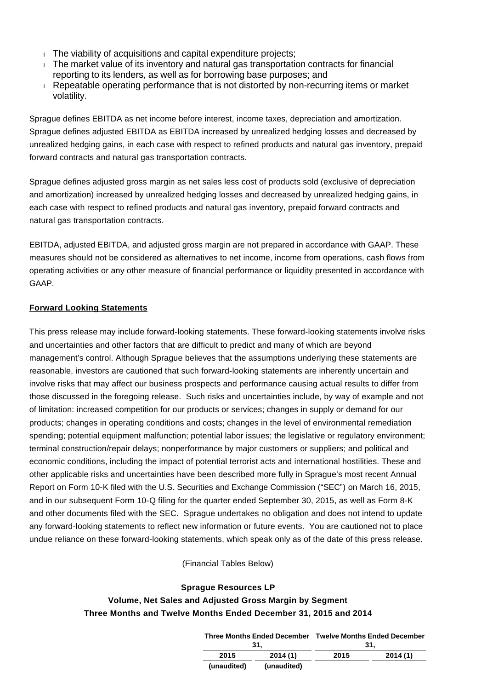- $\overline{1}$  The viability of acquisitions and capital expenditure projects;
- The market value of its inventory and natural gas transportation contracts for financial reporting to its lenders, as well as for borrowing base purposes; and
- Repeatable operating performance that is not distorted by non-recurring items or market volatility.

Sprague defines EBITDA as net income before interest, income taxes, depreciation and amortization. Sprague defines adjusted EBITDA as EBITDA increased by unrealized hedging losses and decreased by unrealized hedging gains, in each case with respect to refined products and natural gas inventory, prepaid forward contracts and natural gas transportation contracts.

Sprague defines adjusted gross margin as net sales less cost of products sold (exclusive of depreciation and amortization) increased by unrealized hedging losses and decreased by unrealized hedging gains, in each case with respect to refined products and natural gas inventory, prepaid forward contracts and natural gas transportation contracts.

EBITDA, adjusted EBITDA, and adjusted gross margin are not prepared in accordance with GAAP. These measures should not be considered as alternatives to net income, income from operations, cash flows from operating activities or any other measure of financial performance or liquidity presented in accordance with GAAP.

# **Forward Looking Statements**

This press release may include forward-looking statements. These forward-looking statements involve risks and uncertainties and other factors that are difficult to predict and many of which are beyond management's control. Although Sprague believes that the assumptions underlying these statements are reasonable, investors are cautioned that such forward-looking statements are inherently uncertain and involve risks that may affect our business prospects and performance causing actual results to differ from those discussed in the foregoing release. Such risks and uncertainties include, by way of example and not of limitation: increased competition for our products or services; changes in supply or demand for our products; changes in operating conditions and costs; changes in the level of environmental remediation spending; potential equipment malfunction; potential labor issues; the legislative or regulatory environment; terminal construction/repair delays; nonperformance by major customers or suppliers; and political and economic conditions, including the impact of potential terrorist acts and international hostilities. These and other applicable risks and uncertainties have been described more fully in Sprague's most recent Annual Report on Form 10-K filed with the U.S. Securities and Exchange Commission ("SEC") on March 16, 2015, and in our subsequent Form 10-Q filing for the quarter ended September 30, 2015, as well as Form 8-K and other documents filed with the SEC. Sprague undertakes no obligation and does not intend to update any forward-looking statements to reflect new information or future events. You are cautioned not to place undue reliance on these forward-looking statements, which speak only as of the date of this press release.

(Financial Tables Below)

## **Sprague Resources LP**

# **Volume, Net Sales and Adjusted Gross Margin by Segment Three Months and Twelve Months Ended December 31, 2015 and 2014**

**(unaudited) (unaudited)**

|      |         | Three Months Ended December Twelve Months Ended December |         |  |  |  |  |  |
|------|---------|----------------------------------------------------------|---------|--|--|--|--|--|
|      | -31.    | -31.                                                     |         |  |  |  |  |  |
| 2015 | 2014(1) | 2015                                                     | 2014(1) |  |  |  |  |  |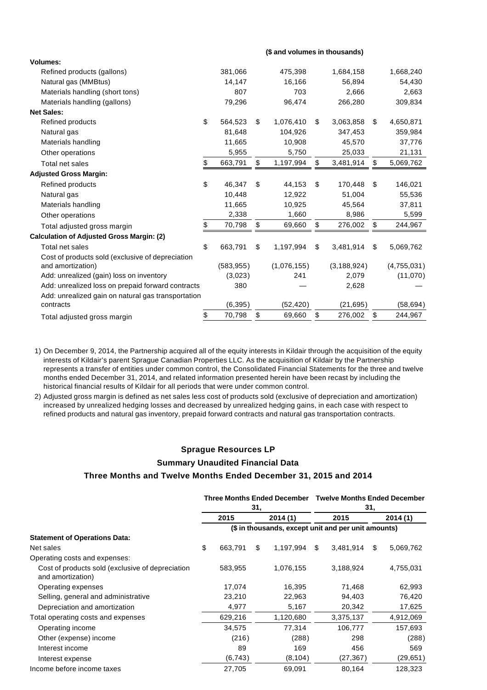**Volumes:** Refined products (gallons) 381,066 475,398 1,684,158 1,668,240 Natural gas (MMBtus) 14,147 16,166 56,894 54,430 Materials handling (short tons)  $807$  703 2,666 2,663 Materials handling (gallons) **79,296** 96,474 266,280 309,834 **Net Sales:** Refined products **8 564,523 \$ 1,076,410 \$ 3,063,858 \$ 4,650,871** Natural gas 81,648 104,926 347,453 359,984 Materials handling 11,665 10,908 45,570 37,776 Other operations 6,955 5,955 5,750 25,033 21,131 Total net sales \$ 663,791 \$ 1,197,994 \$ 3,481,914 \$ 5,069,762 **Adjusted Gross Margin:** Refined products \$ 46,347 \$ 44,153 \$ 170,448 \$ 146,021 Natural gas 10,448 12,922 51,004 55,536 Materials handling 11,665 10,925 45,564 37,811 Other operations 6,599 **2,338** 1,660 8,986 5,599 Total adjusted gross margin \$ 70,798 \$ 69,660 \$ 276,002 \$ 244,967 **Calculation of Adjusted Gross Margin: (2)** Total net sales 663,791 \$ 663,791 \$ 1,197,994 \$ 3,481,914 \$ 5,069,762 Cost of products sold (exclusive of depreciation and amortization) (583,955) (1,076,155) (3,188,924) (4,755,031) Add: unrealized (gain) loss on inventory (3,023) 241 2,079 (11,070) Add: unrealized loss on prepaid forward contracts 380 – 2,628 Add: unrealized gain on natural gas transportation contracts (6,395) (52,420) (21,695) (58,694) Total adjusted gross margin  $$70,798 \quad $69,660 \quad $276,002 \quad $244,967$ 

- 1) On December 9, 2014, the Partnership acquired all of the equity interests in Kildair through the acquisition of the equity interests of Kildair's parent Sprague Canadian Properties LLC. As the acquisition of Kildair by the Partnership represents a transfer of entities under common control, the Consolidated Financial Statements for the three and twelve months ended December 31, 2014, and related information presented herein have been recast by including the historical financial results of Kildair for all periods that were under common control.
- 2) Adjusted gross margin is defined as net sales less cost of products sold (exclusive of depreciation and amortization) increased by unrealized hedging losses and decreased by unrealized hedging gains, in each case with respect to refined products and natural gas inventory, prepaid forward contracts and natural gas transportation contracts.

# **Sprague Resources LP Summary Unaudited Financial Data Three Months and Twelve Months Ended December 31, 2015 and 2014**

|                                                                       |                                                     | <b>Three Months Ended December</b><br>31, |    |           | <b>Twelve Months Ended December</b><br>31, |           |         |           |  |  |  |
|-----------------------------------------------------------------------|-----------------------------------------------------|-------------------------------------------|----|-----------|--------------------------------------------|-----------|---------|-----------|--|--|--|
|                                                                       |                                                     | 2015                                      |    | 2014(1)   | 2015                                       |           | 2014(1) |           |  |  |  |
|                                                                       | (\$ in thousands, except unit and per unit amounts) |                                           |    |           |                                            |           |         |           |  |  |  |
| <b>Statement of Operations Data:</b>                                  |                                                     |                                           |    |           |                                            |           |         |           |  |  |  |
| Net sales                                                             | \$                                                  | 663,791                                   | \$ | 1,197,994 | \$                                         | 3,481,914 | \$.     | 5,069,762 |  |  |  |
| Operating costs and expenses:                                         |                                                     |                                           |    |           |                                            |           |         |           |  |  |  |
| Cost of products sold (exclusive of depreciation<br>and amortization) |                                                     | 583,955                                   |    | 1,076,155 |                                            | 3,188,924 |         | 4,755,031 |  |  |  |
| Operating expenses                                                    |                                                     | 17,074                                    |    | 16,395    |                                            | 71,468    |         | 62,993    |  |  |  |
| Selling, general and administrative                                   |                                                     | 23,210                                    |    | 22,963    |                                            | 94,403    |         | 76,420    |  |  |  |
| Depreciation and amortization                                         |                                                     | 4,977                                     |    | 5,167     |                                            | 20,342    |         | 17,625    |  |  |  |
| Total operating costs and expenses                                    |                                                     | 629,216                                   |    | 1,120,680 |                                            | 3,375,137 |         | 4,912,069 |  |  |  |
| Operating income                                                      |                                                     | 34,575                                    |    | 77,314    |                                            | 106,777   |         | 157,693   |  |  |  |
| Other (expense) income                                                |                                                     | (216)                                     |    | (288)     |                                            | 298       |         | (288)     |  |  |  |
| Interest income                                                       |                                                     | 89                                        |    | 169       |                                            | 456       |         | 569       |  |  |  |
| Interest expense                                                      |                                                     | (6, 743)                                  |    | (8, 104)  |                                            | (27, 367) |         | (29, 651) |  |  |  |
| Income before income taxes                                            |                                                     | 27.705                                    |    | 69.091    |                                            | 80.164    |         | 128.323   |  |  |  |

#### **(\$ and volumes in thousands)**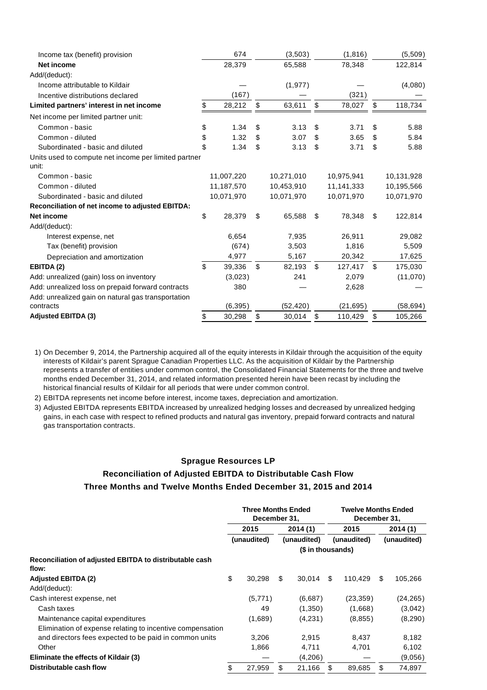| Income tax (benefit) provision                                |            | 674        |               | (3,503)    | (1, 816)      |    | (5,509)    |  |
|---------------------------------------------------------------|------------|------------|---------------|------------|---------------|----|------------|--|
| <b>Net income</b>                                             |            | 28,379     |               | 65,588     | 78,348        |    | 122,814    |  |
| Add/(deduct):                                                 |            |            |               |            |               |    |            |  |
| Income attributable to Kildair                                |            |            |               | (1, 977)   |               |    | (4,080)    |  |
| Incentive distributions declared                              | (167)      |            |               |            | (321)         |    |            |  |
| Limited partners' interest in net income                      | \$         | 28,212     | \$            | 63,611     | \$<br>78,027  | \$ | 118,734    |  |
| Net income per limited partner unit:                          |            |            |               |            |               |    |            |  |
| Common - basic                                                | \$         | 1.34       | \$            | 3.13       | \$<br>3.71    | \$ | 5.88       |  |
| Common - diluted                                              | \$         | 1.32       | \$            | 3.07       | \$<br>3.65    | \$ | 5.84       |  |
| Subordinated - basic and diluted                              | \$         | 1.34       | \$            | 3.13       | \$<br>3.71    | \$ | 5.88       |  |
| Units used to compute net income per limited partner<br>unit: |            |            |               |            |               |    |            |  |
| Common - basic                                                |            | 11,007,220 |               | 10,271,010 | 10,975,941    |    | 10,131,928 |  |
| Common - diluted                                              | 11,187,570 |            | 10,453,910    |            | 11,141,333    |    | 10,195,566 |  |
| Subordinated - basic and diluted                              | 10,071,970 |            | 10,071,970    |            | 10,071,970    |    | 10,071,970 |  |
| <b>Reconciliation of net income to adjusted EBITDA:</b>       |            |            |               |            |               |    |            |  |
| <b>Net income</b>                                             | \$         | 28,379     | \$            | 65,588     | \$<br>78,348  | \$ | 122,814    |  |
| Add/(deduct):                                                 |            |            |               |            |               |    |            |  |
| Interest expense, net                                         |            | 6,654      |               | 7,935      | 26,911        |    | 29,082     |  |
| Tax (benefit) provision                                       |            | (674)      |               | 3,503      | 1,816         |    | 5,509      |  |
| Depreciation and amortization                                 |            | 4,977      |               | 5,167      | 20,342        |    | 17,625     |  |
| EBITDA (2)                                                    | \$         | 39,336     | $\mathfrak s$ | 82,193     | \$<br>127,417 | \$ | 175,030    |  |
| Add: unrealized (gain) loss on inventory                      |            | (3,023)    |               | 241        | 2,079         |    | (11,070)   |  |
| Add: unrealized loss on prepaid forward contracts             |            | 380        |               |            | 2,628         |    |            |  |
| Add: unrealized gain on natural gas transportation            |            |            |               |            |               |    |            |  |
| contracts                                                     |            | (6, 395)   |               | (52, 420)  | (21, 695)     |    | (58, 694)  |  |
| <b>Adjusted EBITDA (3)</b>                                    | \$         | 30,298     | \$            | 30,014     | \$<br>110,429 | \$ | 105,266    |  |

1) On December 9, 2014, the Partnership acquired all of the equity interests in Kildair through the acquisition of the equity interests of Kildair's parent Sprague Canadian Properties LLC. As the acquisition of Kildair by the Partnership represents a transfer of entities under common control, the Consolidated Financial Statements for the three and twelve months ended December 31, 2014, and related information presented herein have been recast by including the historical financial results of Kildair for all periods that were under common control.

2) EBITDA represents net income before interest, income taxes, depreciation and amortization.

3) Adjusted EBITDA represents EBITDA increased by unrealized hedging losses and decreased by unrealized hedging gains, in each case with respect to refined products and natural gas inventory, prepaid forward contracts and natural gas transportation contracts.

#### **Sprague Resources LP**

# **Reconciliation of Adjusted EBITDA to Distributable Cash Flow Three Months and Twelve Months Ended December 31, 2015 and 2014**

|                                                                  | <b>Three Months Ended</b><br>December 31, |             |                   |             |      | <b>Twelve Months Ended</b><br>December 31, |         |             |  |  |
|------------------------------------------------------------------|-------------------------------------------|-------------|-------------------|-------------|------|--------------------------------------------|---------|-------------|--|--|
|                                                                  |                                           | 2015        | 2014(1)           |             | 2015 |                                            | 2014(1) |             |  |  |
|                                                                  |                                           | (unaudited) |                   | (unaudited) |      | (unaudited)                                |         | (unaudited) |  |  |
|                                                                  |                                           |             | (\$ in thousands) |             |      |                                            |         |             |  |  |
| Reconciliation of adjusted EBITDA to distributable cash<br>flow: |                                           |             |                   |             |      |                                            |         |             |  |  |
| <b>Adjusted EBITDA (2)</b>                                       | \$                                        | 30.298      | S                 | 30.014      | \$.  | 110.429                                    | \$.     | 105,266     |  |  |
| Add/(deduct):                                                    |                                           |             |                   |             |      |                                            |         |             |  |  |
| Cash interest expense, net                                       |                                           | (5,771)     |                   | (6,687)     |      | (23,359)                                   |         | (24, 265)   |  |  |
| Cash taxes                                                       |                                           | 49          |                   | (1,350)     |      | (1,668)                                    |         | (3,042)     |  |  |
| Maintenance capital expenditures                                 |                                           | (1,689)     |                   | (4,231)     |      | (8, 855)                                   |         | (8,290)     |  |  |
| Elimination of expense relating to incentive compensation        |                                           |             |                   |             |      |                                            |         |             |  |  |
| and directors fees expected to be paid in common units           |                                           | 3,206       |                   | 2,915       |      | 8,437                                      |         | 8,182       |  |  |
| Other                                                            |                                           | 1,866       |                   | 4,711       |      | 4,701                                      |         | 6,102       |  |  |
| Eliminate the effects of Kildair (3)                             |                                           |             |                   | (4,206)     |      |                                            |         | (9,056)     |  |  |
| Distributable cash flow                                          |                                           | 27,959      | \$.               | 21,166      | S    | 89,685                                     | \$      | 74,897      |  |  |